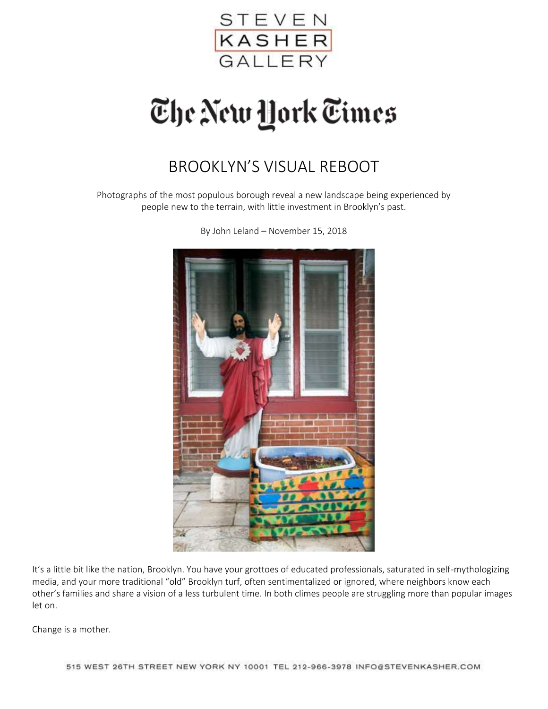

## The New York Times

## BROOKLYN'S VISUAL REBOOT

Photographs of the most populous borough reveal a new landscape being experienced by people new to the terrain, with little investment in Brooklyn's past.



By John Leland – November 15, 2018

It's a little bit like the nation, Brooklyn. You have your grottoes of educated professionals, saturated in self-mythologizing media, and your more traditional "old" Brooklyn turf, often sentimentalized or ignored, where neighbors know each other's families and share a vision of a less turbulent time. In both climes people are struggling more than popular images let on.

Change is a mother.